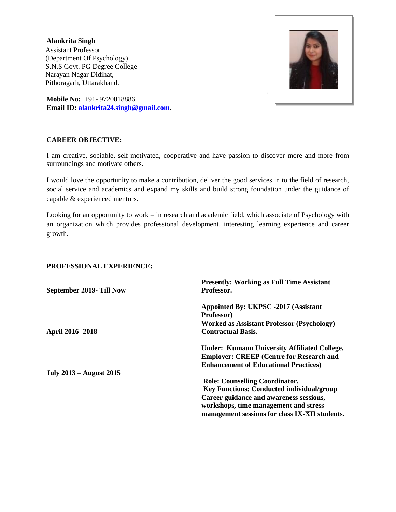#### **Alankrita Singh**

 Assistant Professor (Department Of Psychology) S.N.S Govt. PG Degree College Narayan Nagar Didihat, Pithoragarh, Uttarakhand.



**Mobile No:** +91- 9720018886 **Email ID: [alankrita24.singh@gmail.com.](mailto:alankrita24.singh@gmail.com)**

#### **CAREER OBJECTIVE:**

I am creative, sociable, self-motivated, cooperative and have passion to discover more and more from surroundings and motivate others.

I would love the opportunity to make a contribution, deliver the good services in to the field of research, social service and academics and expand my skills and build strong foundation under the guidance of capable & experienced mentors.

Looking for an opportunity to work – in research and academic field, which associate of Psychology with an organization which provides professional development, interesting learning experience and career growth.

|                                | <b>Presently: Working as Full Time Assistant</b>    |
|--------------------------------|-----------------------------------------------------|
| September 2019- Till Now       | Professor.                                          |
|                                |                                                     |
|                                | Appointed By: UKPSC -2017 (Assistant                |
|                                | Professor)                                          |
|                                | <b>Worked as Assistant Professor (Psychology)</b>   |
| April 2016-2018                | <b>Contractual Basis.</b>                           |
|                                |                                                     |
|                                | <b>Under: Kumaun University Affiliated College.</b> |
|                                | <b>Employer: CREEP (Centre for Research and</b>     |
|                                | <b>Enhancement of Educational Practices)</b>        |
| <b>July 2013 – August 2015</b> |                                                     |
|                                | <b>Role: Counselling Coordinator.</b>               |
|                                | <b>Key Functions: Conducted individual/group</b>    |
|                                | Career guidance and awareness sessions,             |
|                                | workshops, time management and stress               |
|                                | management sessions for class IX-XII students.      |

#### **PROFESSIONAL EXPERIENCE:**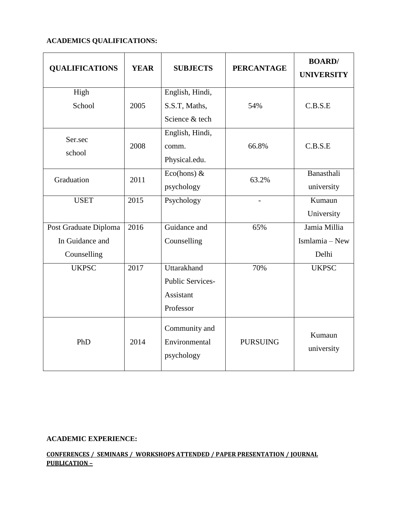## **ACADEMICS QUALIFICATIONS:**

| <b>QUALIFICATIONS</b> | <b>YEAR</b> | <b>SUBJECTS</b>         | <b>PERCANTAGE</b> | <b>BOARD/</b><br><b>UNIVERSITY</b> |
|-----------------------|-------------|-------------------------|-------------------|------------------------------------|
| High                  |             | English, Hindi,         |                   |                                    |
| School                | 2005        | S.S.T, Maths,           | 54%               | C.B.S.E                            |
|                       |             | Science & tech          |                   |                                    |
| Ser.sec               |             | English, Hindi,         |                   |                                    |
|                       | 2008        | comm.                   | 66.8%             | C.B.S.E                            |
| school                |             | Physical.edu.           |                   |                                    |
| Graduation            | 2011        | Eco(hons) $&$           | 63.2%             | Banasthali                         |
|                       |             | psychology              |                   | university                         |
| <b>USET</b>           | 2015        | Psychology              |                   | Kumaun                             |
|                       |             |                         |                   | University                         |
| Post Graduate Diploma | 2016        | Guidance and            | 65%               | Jamia Millia                       |
| In Guidance and       |             | Counselling             |                   | Ismlamia - New                     |
| Counselling           |             |                         |                   | Delhi                              |
| <b>UKPSC</b>          | 2017        | Uttarakhand             | 70%               | <b>UKPSC</b>                       |
|                       |             | <b>Public Services-</b> |                   |                                    |
|                       |             | Assistant               |                   |                                    |
|                       |             | Professor               |                   |                                    |
| PhD                   | 2014        | Community and           |                   |                                    |
|                       |             | Environmental           | <b>PURSUING</b>   | Kumaun                             |
|                       |             | psychology              |                   | university                         |

## **ACADEMIC EXPERIENCE:**

#### **CONFERENCES / SEMINARS / WORKSHOPS ATTENDED / PAPER PRESENTATION / JOURNAL PUBLICATION –**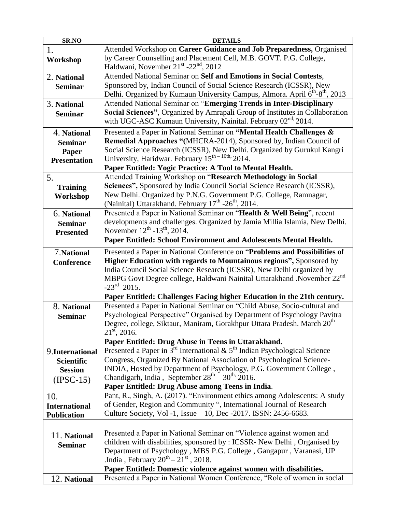| SR.NO                | <b>DETAILS</b>                                                                                                                                     |
|----------------------|----------------------------------------------------------------------------------------------------------------------------------------------------|
| 1.                   | Attended Workshop on Career Guidance and Job Preparedness, Organised                                                                               |
| Workshop             | by Career Counselling and Placement Cell, M.B. GOVT. P.G. College,                                                                                 |
|                      | Haldwani, November 21 <sup>st</sup> -22 <sup>nd</sup> , 2012                                                                                       |
| 2. National          | Attended National Seminar on Self and Emotions in Social Contests,                                                                                 |
| <b>Seminar</b>       | Sponsored by, Indian Council of Social Science Research (ICSSR), New                                                                               |
|                      | Delhi. Organized by Kumaun University Campus, Almora. April 6 <sup>th</sup> -8 <sup>th</sup> , 2013                                                |
| 3. National          | Attended National Seminar on "Emerging Trends in Inter-Disciplinary                                                                                |
| <b>Seminar</b>       | Social Sciences", Organized by Amrapali Group of Institutes in Collaboration                                                                       |
|                      | with UGC-ASC Kumaun University, Nainital. February 02 <sup>nd,</sup> 2014.                                                                         |
| 4. National          | Presented a Paper in National Seminar on "Mental Health Challenges &                                                                               |
| <b>Seminar</b>       | Remedial Approaches "(MHCRA-2014), Sponsored by, Indian Council of                                                                                 |
| Paper                | Social Science Research (ICSSR), New Delhi. Organized by Gurukul Kangri                                                                            |
| <b>Presentation</b>  | University, Haridwar. February 15 <sup>th – 16th,</sup> 2014.                                                                                      |
|                      | Paper Entitled: Yogic Practice: A Tool to Mental Health.                                                                                           |
| 5.                   | Attended Training Workshop on "Research Methodology in Social                                                                                      |
| <b>Training</b>      | Sciences", Sponsored by India Council Social Science Research (ICSSR),                                                                             |
| Workshop             | New Delhi. Organized by P.N.G. Government P.G. College, Ramnagar,                                                                                  |
|                      | (Nainital) Uttarakhand. February 17 <sup>th</sup> -26 <sup>th</sup> , 2014.                                                                        |
| 6. National          | Presented a Paper in National Seminar on "Health & Well Being", recent                                                                             |
| <b>Seminar</b>       | developments and challenges. Organized by Jamia Millia Islamia, New Delhi.                                                                         |
| <b>Presented</b>     | November $12^{th}$ -13 <sup>th</sup> , 2014.                                                                                                       |
|                      | Paper Entitled: School Environment and Adolescents Mental Health.                                                                                  |
| 7. National          | Presented a Paper in National Conference on "Problems and Possibilities of                                                                         |
| <b>Conference</b>    | Higher Education with regards to Mountainous regions", Sponsored by                                                                                |
|                      | India Council Social Science Research (ICSSR), New Delhi organized by                                                                              |
|                      | MBPG Govt Degree college, Haldwani Nainital Uttarakhand .November 22 <sup>nd</sup>                                                                 |
|                      | $-23^{\text{rd}}$ 2015.                                                                                                                            |
|                      | Paper Entitled: Challenges Facing higher Education in the 21th century.                                                                            |
| 8. National          | Presented a Paper in National Seminar on "Child Abuse, Socio-cultural and                                                                          |
| <b>Seminar</b>       | Psychological Perspective" Organised by Department of Psychology Pavitra                                                                           |
|                      | Degree, college, Siktaur, Maniram, Gorakhpur Uttara Pradesh. March 20 <sup>th</sup> -                                                              |
|                      | $21st$ , 2016.                                                                                                                                     |
|                      | Paper Entitled: Drug Abuse in Teens in Uttarakhand.                                                                                                |
| 9.International      | Presented a Paper in $3^{rd}$ International & $5^{th}$ Indian Psychological Science                                                                |
| <b>Scientific</b>    | Congress, Organized By National Association of Psychological Science-                                                                              |
| <b>Session</b>       | INDIA, Hosted by Department of Psychology, P.G. Government College,                                                                                |
| $(IPSC-15)$          | Chandigarh, India, September $28^{th} - 30^{th}$ . 2016.                                                                                           |
|                      | Paper Entitled: Drug Abuse among Teens in India.                                                                                                   |
| 10.                  | Pant, R., Singh, A. (2017). "Environment ethics among Adolescents: A study<br>of Gender, Region and Community ", International Journal of Research |
| <b>International</b> | Culture Society, Vol -1, Issue – 10, Dec -2017. ISSN: 2456-6683.                                                                                   |
| <b>Publication</b>   |                                                                                                                                                    |
|                      | Presented a Paper in National Seminar on "Violence against women and                                                                               |
| 11. National         | children with disabilities, sponsored by : ICSSR- New Delhi, Organised by                                                                          |
| <b>Seminar</b>       | Department of Psychology, MBS P.G. College, Gangapur, Varanasi, UP                                                                                 |
|                      | .India, February $20^{th} - 21^{st}$ , 2018.                                                                                                       |
|                      | Paper Entitled: Domestic violence against women with disabilities.                                                                                 |
| 12. National         | Presented a Paper in National Women Conference, "Role of women in social                                                                           |
|                      |                                                                                                                                                    |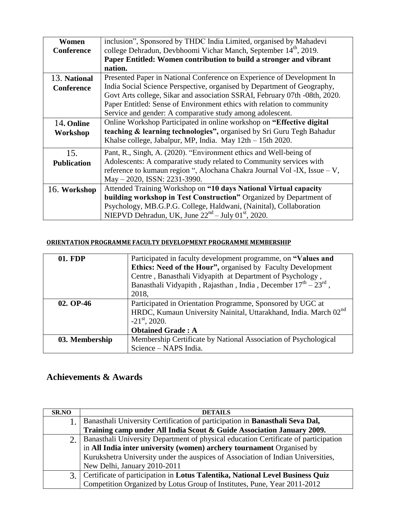| Women              | inclusion", Sponsored by THDC India Limited, organised by Mahadevi           |
|--------------------|------------------------------------------------------------------------------|
| <b>Conference</b>  | college Dehradun, Devbhoomi Vichar Manch, September 14 <sup>th</sup> , 2019. |
|                    | Paper Entitled: Women contribution to build a stronger and vibrant           |
|                    | nation.                                                                      |
| 13. National       | Presented Paper in National Conference on Experience of Development In       |
| <b>Conference</b>  | India Social Science Perspective, organised by Department of Geography,      |
|                    | Govt Arts college, Sikar and association SSRAI, February 07th -08th, 2020.   |
|                    | Paper Entitled: Sense of Environment ethics with relation to community       |
|                    | Service and gender: A comparative study among adolescent.                    |
| 14. Online         | Online Workshop Participated in online workshop on "Effective digital"       |
| Workshop           | teaching & learning technologies", organised by Sri Guru Tegh Bahadur        |
|                    | Khalse college, Jabalpur, MP, India. May 12th - 15th 2020.                   |
| 15.                | Pant, R., Singh, A. (2020). "Environment ethics and Well-being of            |
| <b>Publication</b> | Adolescents: A comparative study related to Community services with          |
|                    | reference to kumaun region ", Alochana Chakra Journal Vol -IX, Issue - V,    |
|                    | May - 2020, ISSN: 2231-3990.                                                 |
| 16. Workshop       | Attended Training Workshop on "10 days National Virtual capacity             |
|                    | building workshop in Test Construction" Organized by Department of           |
|                    | Psychology, MB.G.P.G. College, Haldwani, (Nainital), Collaboration           |
|                    | NIEPVD Dehradun, UK, June $22nd - July 01st$ , 2020.                         |

## **ORIENTATION PROGRAMME FACULTY DEVELOPMENT PROGRAMME MEMBERSHIP**

| 01. FDP        | Participated in faculty development programme, on "Values and<br>Ethics: Need of the Hour", organised by Faculty Development<br>Centre, Banasthali Vidyapith at Department of Psychology,<br>Banasthali Vidyapith, Rajasthan, India, December $17^{th} - 23^{rd}$ ,<br>2018, |
|----------------|------------------------------------------------------------------------------------------------------------------------------------------------------------------------------------------------------------------------------------------------------------------------------|
| 02. OP-46      | Participated in Orientation Programme, Sponsored by UGC at<br>HRDC, Kumaun University Nainital, Uttarakhand, India. March 02 <sup>nd</sup><br>$-21$ <sup>st</sup> , 2020.<br><b>Obtained Grade: A</b>                                                                        |
| 03. Membership | Membership Certificate by National Association of Psychological<br>Science - NAPS India.                                                                                                                                                                                     |

# **Achievements & Awards**

| <b>SR.NO</b> | <b>DETAILS</b>                                                                      |
|--------------|-------------------------------------------------------------------------------------|
|              | Banasthali University Certification of participation in Banasthali Seva Dal,        |
|              | Training camp under All India Scout & Guide Association January 2009.               |
|              | Banasthali University Department of physical education Certificate of participation |
|              | in All India inter university (women) archery tournament Organised by               |
|              | Kurukshetra University under the auspices of Association of Indian Universities,    |
|              | New Delhi, January 2010-2011                                                        |
| 3.           | Certificate of participation in Lotus Talentika, National Level Business Quiz       |
|              | Competition Organized by Lotus Group of Institutes, Pune, Year 2011-2012            |